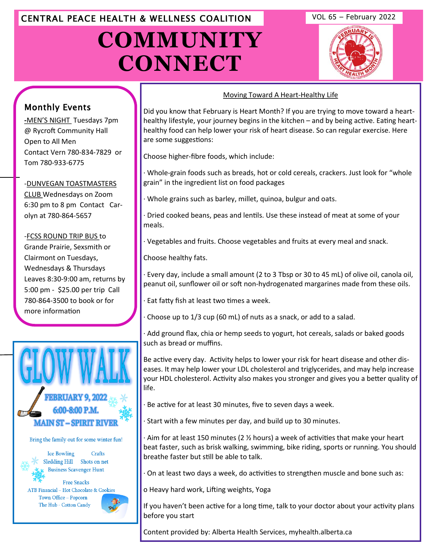# CENTRAL PEACE HEALTH & WELLNESS COALITION VOL 65 – February 2022

# **COMMUNITY CONNECT**





# Monthly Events

**-**MEN'S NIGHT Tuesdays 7pm @ Rycroft Community Hall Open to All Men Contact Vern 780-834-7829 or Tom 780-933-6775

## -DUNVEGAN TOASTMASTERS

CLUB Wednesdays on Zoom [6:30 pm to 8 pm Contact Car](http://www.eaglesham.biz/)olyn at 780-864-5657

-FCSS ROUND TRIP BUS to Grande Prairie, Sexsmith or Clairmont on Tuesdays, Wednesdays & Thursdays Leaves 8:30-9:00 am, returns by 5:00 pm - \$25.00 per trip Call 780-864-3500 to book or for more information



Bring the family out for some winter fun!

Ice Bowling Crafts Sledding Hill Shots on net **Business Scavenger Hunt** 

**Free Snacks ATB Financial - Hot Chocolate & Cookies** Town Office - Popcorn The Hub - Cotton Candy



## Moving Toward A Heart-Healthy Life

Did you know that February is Heart Month? If you are trying to move toward a hearthealthy lifestyle, your journey begins in the kitchen – and by being active. Eating hearthealthy food can help lower your risk of heart disease. So can regular exercise. Here are some suggestions:

Choose higher-fibre foods, which include:

· Whole-grain foods such as breads, hot or cold cereals, crackers. Just look for "whole grain" in the ingredient list on food packages

Whole grains such as barley, millet, quinoa, bulgur and oats.

· Dried cooked beans, peas and lentils. Use these instead of meat at some of your meals.

· Vegetables and fruits. Choose vegetables and fruits at every meal and snack.

Choose healthy fats.

· Every day, include a small amount (2 to 3 Tbsp or 30 to 45 mL) of olive oil, canola oil, peanut oil, sunflower oil or soft non-hydrogenated margarines made from these oils.

Eat fatty fish at least two times a week.

Choose up to 1/3 cup (60 mL) of nuts as a snack, or add to a salad.

· Add ground flax, chia or hemp seeds to yogurt, hot cereals, salads or baked goods such as bread or muffins.

Be active every day. Activity helps to lower your risk for heart disease and other diseases. It may help lower your LDL cholesterol and triglycerides, and may help increase your HDL cholesterol. Activity also makes you stronger and gives you a better quality of life.

Be active for at least 30 minutes, five to seven days a week.

· Start with a few minutes per day, and build up to 30 minutes.

· Aim for at least 150 minutes (2 ½ hours) a week of activities that make your heart beat faster, such as brisk walking, swimming, bike riding, sports or running. You should breathe faster but still be able to talk.

· On at least two days a week, do activities to strengthen muscle and bone such as:

o Heavy hard work, Lifting weights, Yoga

If you haven't been active for a long time, talk to your doctor about your activity plans before you start

Content provided by: Alberta Health Services, myhealth.alberta.ca